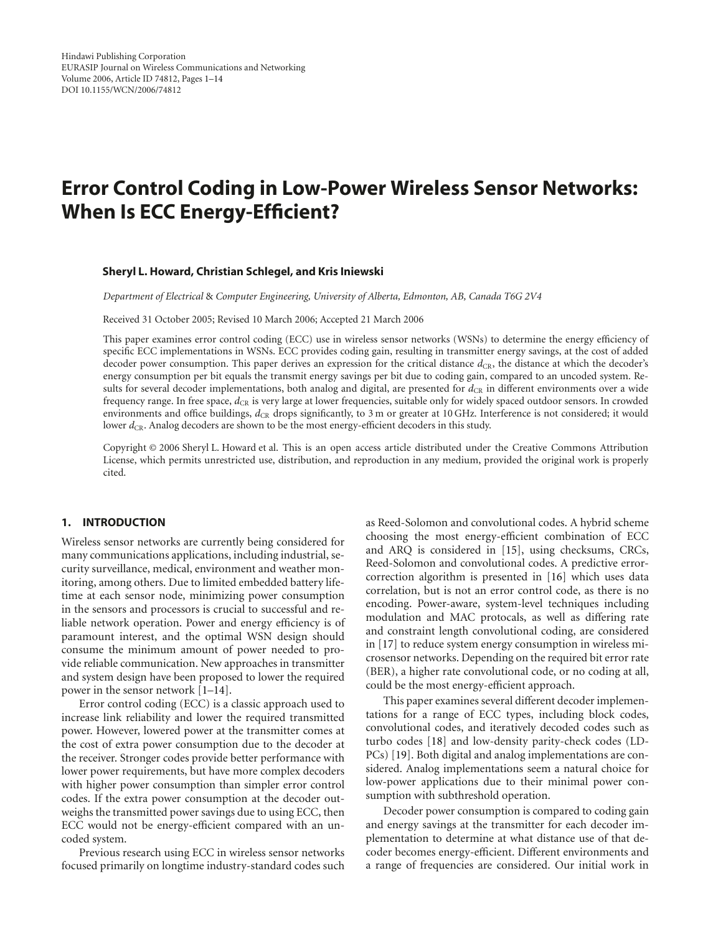# **Error Control Coding in Low-Power Wireless Sensor Networks: When Is ECC Energy-Efficient?**

#### **Sheryl L. Howard, Christian Schlegel, and Kris Iniewski**

*Department of Electrical* & *Computer Engineering, University of Alberta, Edmonton, AB, Canada T6G 2V4*

Received 31 October 2005; Revised 10 March 2006; Accepted 21 March 2006

This paper examines error control coding (ECC) use in wireless sensor networks (WSNs) to determine the energy efficiency of specific ECC implementations in WSNs. ECC provides coding gain, resulting in transmitter energy savings, at the cost of added decoder power consumption. This paper derives an expression for the critical distance  $d_{CR}$ , the distance at which the decoder's energy consumption per bit equals the transmit energy savings per bit due to coding gain, compared to an uncoded system. Results for several decoder implementations, both analog and digital, are presented for  $d_{CR}$  in different environments over a wide frequency range. In free space,  $d_{CR}$  is very large at lower frequencies, suitable only for widely spaced outdoor sensors. In crowded environments and office buildings,  $d_{CR}$  drops significantly, to 3 m or greater at 10 GHz. Interference is not considered; it would lower  $d_{CR}$ . Analog decoders are shown to be the most energy-efficient decoders in this study.

Copyright © 2006 Sheryl L. Howard et al. This is an open access article distributed under the Creative Commons Attribution License, which permits unrestricted use, distribution, and reproduction in any medium, provided the original work is properly cited.

## **1. INTRODUCTION**

Wireless sensor networks are currently being considered for many communications applications, including industrial, security surveillance, medical, environment and weather monitoring, among others. Due to limited embedded battery lifetime at each sensor node, minimizing power consumption in the sensors and processors is crucial to successful and reliable network operation. Power and energy efficiency is of paramount interest, and the optimal WSN design should consume the minimum amount of power needed to provide reliable communication. New approaches in transmitter and system design have been proposed to lower the required power in the sensor network [\[1](#page-11-1)[–14\]](#page-11-2).

Error control coding (ECC) is a classic approach used to increase link reliability and lower the required transmitted power. However, lowered power at the transmitter comes at the cost of extra power consumption due to the decoder at the receiver. Stronger codes provide better performance with lower power requirements, but have more complex decoders with higher power consumption than simpler error control codes. If the extra power consumption at the decoder outweighs the transmitted power savings due to using ECC, then ECC would not be energy-efficient compared with an uncoded system.

Previous research using ECC in wireless sensor networks focused primarily on longtime industry-standard codes such

as Reed-Solomon and convolutional codes. A hybrid scheme choosing the most energy-efficient combination of ECC and ARQ is considered in [\[15](#page-11-3)], using checksums, CRCs, Reed-Solomon and convolutional codes. A predictive errorcorrection algorithm is presented in [\[16\]](#page-11-4) which uses data correlation, but is not an error control code, as there is no encoding. Power-aware, system-level techniques including modulation and MAC protocals, as well as differing rate and constraint length convolutional coding, are considered in [\[17\]](#page-11-5) to reduce system energy consumption in wireless microsensor networks. Depending on the required bit error rate (BER), a higher rate convolutional code, or no coding at all, could be the most energy-efficient approach.

This paper examines several different decoder implementations for a range of ECC types, including block codes, convolutional codes, and iteratively decoded codes such as turbo codes [\[18](#page-11-6)] and low-density parity-check codes (LD-PCs) [\[19\]](#page-11-7). Both digital and analog implementations are considered. Analog implementations seem a natural choice for low-power applications due to their minimal power consumption with subthreshold operation.

Decoder power consumption is compared to coding gain and energy savings at the transmitter for each decoder implementation to determine at what distance use of that decoder becomes energy-efficient. Different environments and a range of frequencies are considered. Our initial work in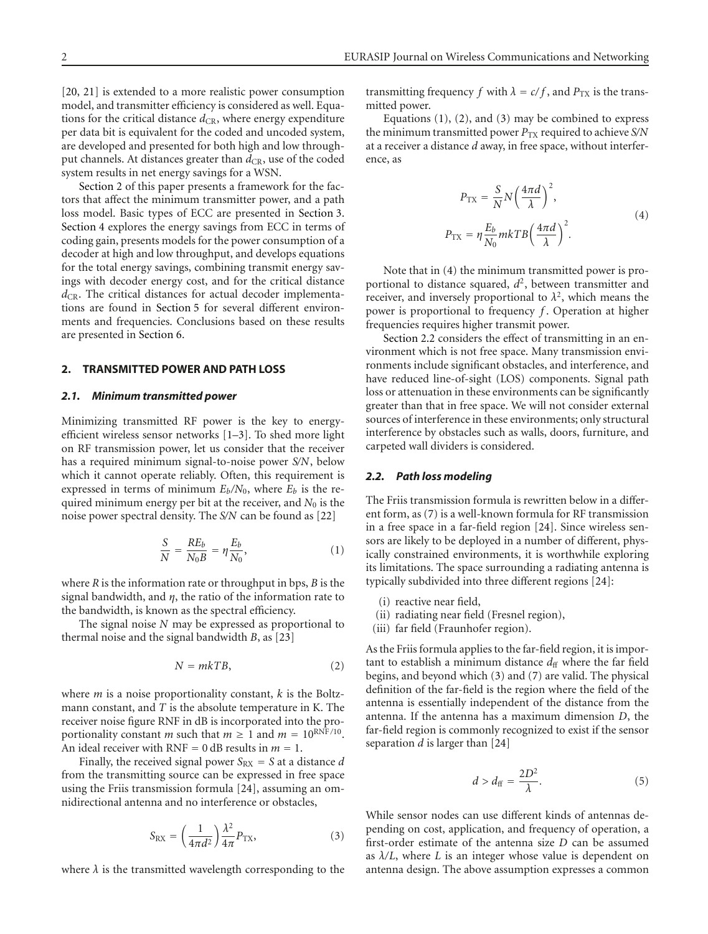[\[20](#page-11-8), [21](#page-11-9)] is extended to a more realistic power consumption model, and transmitter efficiency is considered as well. Equations for the critical distance  $d_{CR}$ , where energy expenditure per data bit is equivalent for the coded and uncoded system, are developed and presented for both high and low throughput channels. At distances greater than  $d_{\text{CR}}$ , use of the coded system results in net energy savings for a WSN.

[Section 2](#page-1-0) of this paper presents a framework for the factors that affect the minimum transmitter power, and a path loss model. Basic types of ECC are presented in [Section 3.](#page-2-0) [Section 4](#page-4-0) explores the energy savings from ECC in terms of coding gain, presents models for the power consumption of a decoder at high and low throughput, and develops equations for the total energy savings, combining transmit energy savings with decoder energy cost, and for the critical distance  $d_{\text{CR}}$ . The critical distances for actual decoder implementations are found in [Section 5](#page-7-0) for several different environments and frequencies. Conclusions based on these results are presented in [Section 6.](#page-10-0)

#### <span id="page-1-0"></span>**2. TRANSMITTED POWER AND PATH LOSS**

#### *2.1. Minimum transmitted power*

Minimizing transmitted RF power is the key to energyefficient wireless sensor networks [\[1](#page-11-1)[–3\]](#page-11-10). To shed more light on RF transmission power, let us consider that the receiver has a required minimum signal-to-noise power *S/N*, below which it cannot operate reliably. Often, this requirement is expressed in terms of minimum  $E_b/N_0$ , where  $E_b$  is the required minimum energy per bit at the receiver, and *N*<sup>0</sup> is the noise power spectral density. The *S/N* can be found as [\[22](#page-11-11)]

<span id="page-1-1"></span>
$$
\frac{S}{N} = \frac{RE_b}{N_0 B} = \eta \frac{E_b}{N_0},\tag{1}
$$

where *R* is the information rate or throughput in bps, *B* is the signal bandwidth, and *η*, the ratio of the information rate to the bandwidth, is known as the spectral efficiency.

The signal noise *N* may be expressed as proportional to thermal noise and the signal bandwidth *B*, as [\[23](#page-11-12)]

<span id="page-1-2"></span>
$$
N = mkTB,
$$
 (2)

where *m* is a noise proportionality constant, *k* is the Boltzmann constant, and *T* is the absolute temperature in K. The receiver noise figure RNF in dB is incorporated into the proportionality constant *m* such that  $m \ge 1$  and  $m = 10^{RNF/10}$ . An ideal receiver with  $RNF = 0$  dB results in  $m = 1$ .

Finally, the received signal power  $S_{RX} = S$  at a distance *d* from the transmitting source can be expressed in free space using the Friis transmission formula [\[24\]](#page-11-13), assuming an omnidirectional antenna and no interference or obstacles,

<span id="page-1-3"></span>
$$
S_{\rm RX} = \left(\frac{1}{4\pi d^2}\right) \frac{\lambda^2}{4\pi} P_{\rm TX},\tag{3}
$$

where  $\lambda$  is the transmitted wavelength corresponding to the

transmitting frequency *f* with  $\lambda = c/f$ , and  $P_{TX}$  is the transmitted power.

Equations  $(1)$ ,  $(2)$ , and  $(3)$  may be combined to express the minimum transmitted power  $P_{TX}$  required to achieve *S/N* at a receiver a distance *d* away, in free space, without interference, as

<span id="page-1-4"></span>
$$
P_{\text{TX}} = \frac{S}{N} N \left(\frac{4\pi d}{\lambda}\right)^2,
$$
  
\n
$$
P_{\text{TX}} = \eta \frac{E_b}{N_0} m k T B \left(\frac{4\pi d}{\lambda}\right)^2.
$$
 (4)

Note that in [\(4\)](#page-1-4) the minimum transmitted power is proportional to distance squared, *d*2, between transmitter and receiver, and inversely proportional to  $\lambda^2$ , which means the power is proportional to frequency *f* . Operation at higher frequencies requires higher transmit power.

[Section 2.2](#page-1-5) considers the effect of transmitting in an environment which is not free space. Many transmission environments include significant obstacles, and interference, and have reduced line-of-sight (LOS) components. Signal path loss or attenuation in these environments can be significantly greater than that in free space. We will not consider external sources of interference in these environments; only structural interference by obstacles such as walls, doors, furniture, and carpeted wall dividers is considered.

#### <span id="page-1-5"></span>*2.2. Path loss modeling*

The Friis transmission formula is rewritten below in a different form, as [\(7\)](#page-2-1) is a well-known formula for RF transmission in a free space in a far-field region [\[24](#page-11-13)]. Since wireless sensors are likely to be deployed in a number of different, physically constrained environments, it is worthwhile exploring its limitations. The space surrounding a radiating antenna is typically subdivided into three different regions [\[24](#page-11-13)]:

- (i) reactive near field,
- (ii) radiating near field (Fresnel region),
- (iii) far field (Fraunhofer region).

As the Friis formula applies to the far-field region, it is important to establish a minimum distance  $d_{\rm ff}$  where the far field begins, and beyond which [\(3\)](#page-1-3) and [\(7\)](#page-2-1) are valid. The physical definition of the far-field is the region where the field of the antenna is essentially independent of the distance from the antenna. If the antenna has a maximum dimension *D*, the far-field region is commonly recognized to exist if the sensor separation *d* is larger than [\[24](#page-11-13)]

<span id="page-1-6"></span>
$$
d > d_{\text{ff}} = \frac{2D^2}{\lambda}.
$$
 (5)

While sensor nodes can use different kinds of antennas depending on cost, application, and frequency of operation, a first-order estimate of the antenna size *D* can be assumed as *λ/L*, where *L* is an integer whose value is dependent on antenna design. The above assumption expresses a common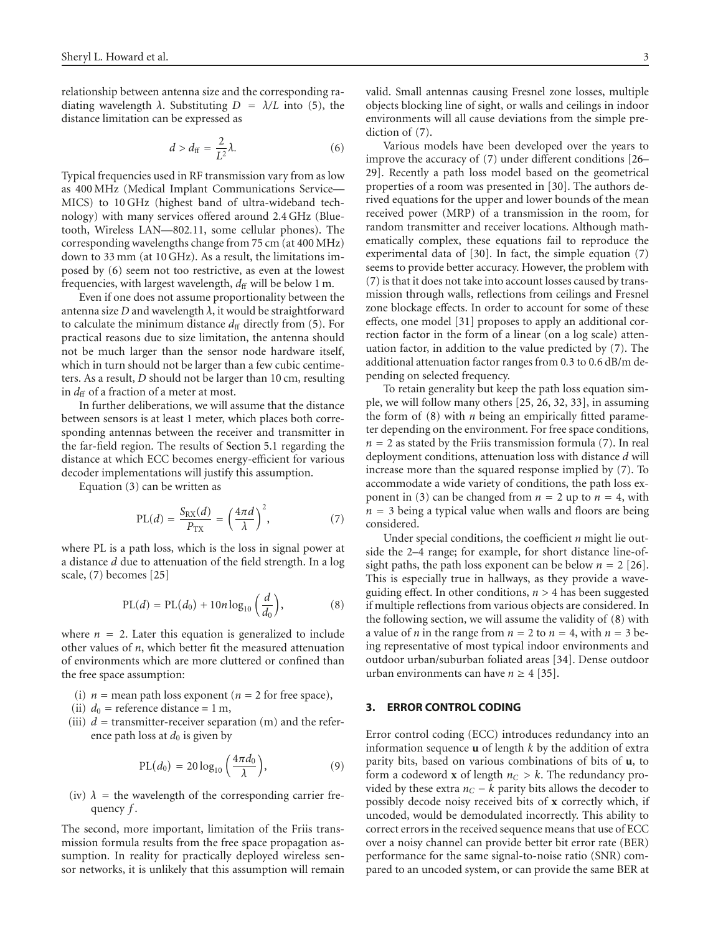relationship between antenna size and the corresponding radiating wavelength  $\lambda$ . Substituting  $D = \lambda/L$  into [\(5\)](#page-1-6), the distance limitation can be expressed as

<span id="page-2-2"></span>
$$
d > d_{\text{ff}} = \frac{2}{L^2} \lambda. \tag{6}
$$

Typical frequencies used in RF transmission vary from as low as 400 MHz (Medical Implant Communications Service— MICS) to 10 GHz (highest band of ultra-wideband technology) with many services offered around 2*.*4 GHz (Bluetooth, Wireless LAN—802*.*11, some cellular phones). The corresponding wavelengths change from 75 cm (at 400 MHz) down to 33 mm (at 10 GHz). As a result, the limitations imposed by [\(6\)](#page-2-2) seem not too restrictive, as even at the lowest frequencies, with largest wavelength,  $d_f$  will be below 1 m.

Even if one does not assume proportionality between the antenna size *D* and wavelength *λ*, it would be straightforward to calculate the minimum distance  $d_{\text{ff}}$  directly from [\(5\)](#page-1-6). For practical reasons due to size limitation, the antenna should not be much larger than the sensor node hardware itself, which in turn should not be larger than a few cubic centimeters. As a result, *D* should not be larger than 10 cm, resulting in  $d_{\text{ff}}$  of a fraction of a meter at most.

In further deliberations, we will assume that the distance between sensors is at least 1 meter, which places both corresponding antennas between the receiver and transmitter in the far-field region. The results of [Section 5.1](#page-7-1) regarding the distance at which ECC becomes energy-efficient for various decoder implementations will justify this assumption.

Equation [\(3\)](#page-1-3) can be written as

<span id="page-2-1"></span>
$$
PL(d) = \frac{S_{\text{RX}}(d)}{P_{\text{TX}}} = \left(\frac{4\pi d}{\lambda}\right)^2,\tag{7}
$$

where PL is a path loss, which is the loss in signal power at a distance *d* due to attenuation of the field strength. In a log scale, [\(7\)](#page-2-1) becomes [\[25\]](#page-11-14)

<span id="page-2-3"></span>
$$
PL(d) = PL(d_0) + 10n \log_{10} \left(\frac{d}{d_0}\right),\tag{8}
$$

where  $n = 2$ . Later this equation is generalized to include other values of *n*, which better fit the measured attenuation of environments which are more cluttered or confined than the free space assumption:

- (i)  $n =$  mean path loss exponent ( $n = 2$  for free space),
- (ii)  $d_0$  = reference distance = 1 m,
- (iii)  $d =$  transmitter-receiver separation (m) and the reference path loss at  $d_0$  is given by

$$
PL(d_0) = 20 \log_{10} \left( \frac{4 \pi d_0}{\lambda} \right),
$$
 (9)

(iv)  $\lambda$  = the wavelength of the corresponding carrier frequency *f* .

The second, more important, limitation of the Friis transmission formula results from the free space propagation assumption. In reality for practically deployed wireless sensor networks, it is unlikely that this assumption will remain valid. Small antennas causing Fresnel zone losses, multiple objects blocking line of sight, or walls and ceilings in indoor environments will all cause deviations from the simple prediction of [\(7\)](#page-2-1).

Various models have been developed over the years to improve the accuracy of [\(7\)](#page-2-1) under different conditions [\[26](#page-11-15)– [29\]](#page-11-16). Recently a path loss model based on the geometrical properties of a room was presented in [\[30\]](#page-12-0). The authors derived equations for the upper and lower bounds of the mean received power (MRP) of a transmission in the room, for random transmitter and receiver locations. Although mathematically complex, these equations fail to reproduce the experimental data of [\[30](#page-12-0)]. In fact, the simple equation [\(7\)](#page-2-1) seems to provide better accuracy. However, the problem with [\(7\)](#page-2-1) is that it does not take into account losses caused by transmission through walls, reflections from ceilings and Fresnel zone blockage effects. In order to account for some of these effects, one model [\[31\]](#page-12-1) proposes to apply an additional correction factor in the form of a linear (on a log scale) attenuation factor, in addition to the value predicted by [\(7\)](#page-2-1). The additional attenuation factor ranges from 0*.*3 to 0*.*6 dB/m depending on selected frequency.

To retain generality but keep the path loss equation simple, we will follow many others [\[25](#page-11-14), [26,](#page-11-15) [32](#page-12-2), [33](#page-12-3)], in assuming the form of [\(8\)](#page-2-3) with *n* being an empirically fitted parameter depending on the environment. For free space conditions,  $n = 2$  as stated by the Friis transmission formula [\(7\)](#page-2-1). In real deployment conditions, attenuation loss with distance *d* will increase more than the squared response implied by [\(7\)](#page-2-1). To accommodate a wide variety of conditions, the path loss ex-ponent in [\(3\)](#page-1-3) can be changed from  $n = 2$  up to  $n = 4$ , with  $n = 3$  being a typical value when walls and floors are being considered.

Under special conditions, the coefficient *n* might lie outside the 2–4 range; for example, for short distance line-ofsight paths, the path loss exponent can be below  $n = 2$  [\[26](#page-11-15)]. This is especially true in hallways, as they provide a waveguiding effect. In other conditions, *n >* 4 has been suggested if multiple reflections from various objects are considered. In the following section, we will assume the validity of [\(8\)](#page-2-3) with a value of *n* in the range from  $n = 2$  to  $n = 4$ , with  $n = 3$  being representative of most typical indoor environments and outdoor urban/suburban foliated areas [\[34\]](#page-12-4). Dense outdoor urban environments can have  $n \geq 4$  [\[35](#page-12-5)].

#### <span id="page-2-0"></span>**3. ERROR CONTROL CODING**

Error control coding (ECC) introduces redundancy into an information sequence **u** of length *k* by the addition of extra parity bits, based on various combinations of bits of **u**, to form a codeword **x** of length  $n_c > k$ . The redundancy provided by these extra  $n_C - k$  parity bits allows the decoder to possibly decode noisy received bits of **x** correctly which, if uncoded, would be demodulated incorrectly. This ability to correct errors in the received sequence means that use of ECC over a noisy channel can provide better bit error rate (BER) performance for the same signal-to-noise ratio (SNR) compared to an uncoded system, or can provide the same BER at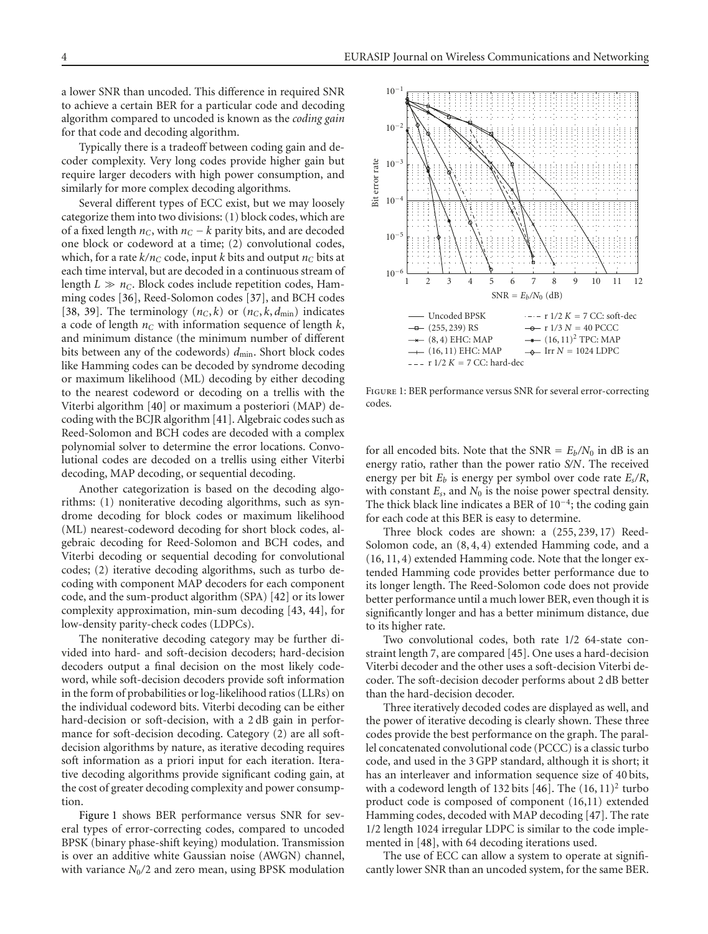a lower SNR than uncoded. This difference in required SNR to achieve a certain BER for a particular code and decoding algorithm compared to uncoded is known as the *coding gain* for that code and decoding algorithm.

Typically there is a tradeoff between coding gain and decoder complexity. Very long codes provide higher gain but require larger decoders with high power consumption, and similarly for more complex decoding algorithms.

Several different types of ECC exist, but we may loosely categorize them into two divisions: (1) block codes, which are of a fixed length  $n_C$ , with  $n_C - k$  parity bits, and are decoded one block or codeword at a time; (2) convolutional codes, which, for a rate  $k/n_C$  code, input k bits and output  $n_C$  bits at each time interval, but are decoded in a continuous stream of length  $L \gg n_C$ . Block codes include repetition codes, Hamming codes [\[36](#page-12-6)], Reed-Solomon codes [\[37\]](#page-12-7), and BCH codes [\[38](#page-12-8), [39\]](#page-12-9). The terminology  $(n_C, k)$  or  $(n_C, k, d_{\text{min}})$  indicates a code of length *nC* with information sequence of length *k*, and minimum distance (the minimum number of different bits between any of the codewords)  $d_{\text{min}}$ . Short block codes like Hamming codes can be decoded by syndrome decoding or maximum likelihood (ML) decoding by either decoding to the nearest codeword or decoding on a trellis with the Viterbi algorithm [\[40\]](#page-12-10) or maximum a posteriori (MAP) decoding with the BCJR algorithm [\[41](#page-12-11)]. Algebraic codes such as Reed-Solomon and BCH codes are decoded with a complex polynomial solver to determine the error locations. Convolutional codes are decoded on a trellis using either Viterbi decoding, MAP decoding, or sequential decoding.

Another categorization is based on the decoding algorithms: (1) noniterative decoding algorithms, such as syndrome decoding for block codes or maximum likelihood (ML) nearest-codeword decoding for short block codes, algebraic decoding for Reed-Solomon and BCH codes, and Viterbi decoding or sequential decoding for convolutional codes; (2) iterative decoding algorithms, such as turbo decoding with component MAP decoders for each component code, and the sum-product algorithm (SPA) [\[42](#page-12-12)] or its lower complexity approximation, min-sum decoding [\[43,](#page-12-13) [44](#page-12-14)], for low-density parity-check codes (LDPCs).

The noniterative decoding category may be further divided into hard- and soft-decision decoders; hard-decision decoders output a final decision on the most likely codeword, while soft-decision decoders provide soft information in the form of probabilities or log-likelihood ratios (LLRs) on the individual codeword bits. Viterbi decoding can be either hard-decision or soft-decision, with a 2 dB gain in performance for soft-decision decoding. Category (2) are all softdecision algorithms by nature, as iterative decoding requires soft information as a priori input for each iteration. Iterative decoding algorithms provide significant coding gain, at the cost of greater decoding complexity and power consumption.

[Figure 1](#page-3-0) shows BER performance versus SNR for several types of error-correcting codes, compared to uncoded BPSK (binary phase-shift keying) modulation. Transmission is over an additive white Gaussian noise (AWGN) channel, with variance  $N_0/2$  and zero mean, using BPSK modulation



<span id="page-3-0"></span>Figure 1: BER performance versus SNR for several error-correcting codes.

for all encoded bits. Note that the  $SNR = E_b/N_0$  in dB is an energy ratio, rather than the power ratio *S/N*. The received energy per bit *Eb* is energy per symbol over code rate *Es/R*, with constant  $E_s$ , and  $N_0$  is the noise power spectral density. The thick black line indicates a BER of  $10^{-4}$ ; the coding gain for each code at this BER is easy to determine.

Three block codes are shown: a (255, 239, 17) Reed-Solomon code, an (8, 4, 4) extended Hamming code, and a (16, 11, 4) extended Hamming code. Note that the longer extended Hamming code provides better performance due to its longer length. The Reed-Solomon code does not provide better performance until a much lower BER, even though it is significantly longer and has a better minimum distance, due to its higher rate.

Two convolutional codes, both rate 1/2 64-state constraint length 7, are compared [\[45](#page-12-15)]. One uses a hard-decision Viterbi decoder and the other uses a soft-decision Viterbi decoder. The soft-decision decoder performs about 2 dB better than the hard-decision decoder.

Three iteratively decoded codes are displayed as well, and the power of iterative decoding is clearly shown. These three codes provide the best performance on the graph. The parallel concatenated convolutional code (PCCC) is a classic turbo code, and used in the 3 GPP standard, although it is short; it has an interleaver and information sequence size of 40 bits, with a codeword length of 132 bits [\[46\]](#page-12-16). The  $(16, 11)^2$  turbo product code is composed of component (16,11) extended Hamming codes, decoded with MAP decoding [\[47](#page-12-17)]. The rate 1/2 length 1024 irregular LDPC is similar to the code implemented in [\[48](#page-12-18)], with 64 decoding iterations used.

The use of ECC can allow a system to operate at significantly lower SNR than an uncoded system, for the same BER.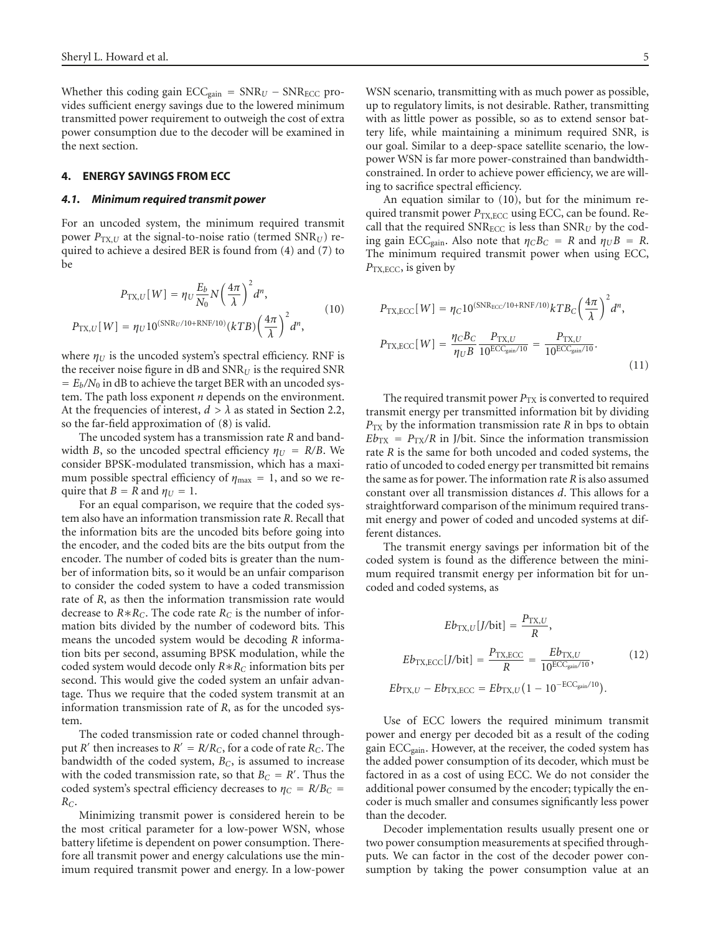Whether this coding gain  $ECC_{gain} = SNR_U - SNR_{ECC}$  provides sufficient energy savings due to the lowered minimum transmitted power requirement to outweigh the cost of extra power consumption due to the decoder will be examined in the next section.

## <span id="page-4-0"></span>**4. ENERGY SAVINGS FROM ECC**

#### *4.1. Minimum required transmit power*

For an uncoded system, the minimum required transmit power  $P_{TX,U}$  at the signal-to-noise ratio (termed SNR<sub>U</sub>) required to achieve a desired BER is found from [\(4\)](#page-1-4) and [\(7\)](#page-2-1) to be

$$
P_{\text{TX},U}[W] = \eta_U \frac{E_b}{N_0} N \left(\frac{4\pi}{\lambda}\right)^2 d^n,
$$
  
\n
$$
P_{\text{TX},U}[W] = \eta_U 10^{(\text{SNR}_U/10 + \text{RNF}/10)} (kTB) \left(\frac{4\pi}{\lambda}\right)^2 d^n,
$$
\n(10)

where  $\eta_U$  is the uncoded system's spectral efficiency. RNF is the receiver noise figure in dB and SNR*<sup>U</sup>* is the required SNR  $= E_b/N_0$  in dB to achieve the target BER with an uncoded system. The path loss exponent *n* depends on the environment. At the frequencies of interest,  $d > \lambda$  as stated in [Section 2.2,](#page-1-5) so the far-field approximation of [\(8\)](#page-2-3) is valid.

The uncoded system has a transmission rate *R* and bandwidth *B*, so the uncoded spectral efficiency  $\eta_U = R/B$ . We consider BPSK-modulated transmission, which has a maximum possible spectral efficiency of  $\eta_{\text{max}} = 1$ , and so we require that  $B = R$  and  $\eta_U = 1$ .

For an equal comparison, we require that the coded system also have an information transmission rate *R*. Recall that the information bits are the uncoded bits before going into the encoder, and the coded bits are the bits output from the encoder. The number of coded bits is greater than the number of information bits, so it would be an unfair comparison to consider the coded system to have a coded transmission rate of *R*, as then the information transmission rate would decrease to  $R * R_C$ . The code rate  $R_C$  is the number of information bits divided by the number of codeword bits. This means the uncoded system would be decoding *R* information bits per second, assuming BPSK modulation, while the coded system would decode only *<sup>R</sup>*∗*RC* information bits per second. This would give the coded system an unfair advantage. Thus we require that the coded system transmit at an information transmission rate of *R*, as for the uncoded system.

The coded transmission rate or coded channel throughput *R'* then increases to  $R' = R/R_C$ , for a code of rate  $R_C$ . The bandwidth of the coded system,  $B_C$ , is assumed to increase with the coded transmission rate, so that  $B_C = R'$ . Thus the coded system's spectral efficiency decreases to  $\eta_C = R/B_C$  = *RC*.

Minimizing transmit power is considered herein to be the most critical parameter for a low-power WSN, whose battery lifetime is dependent on power consumption. Therefore all transmit power and energy calculations use the minimum required transmit power and energy. In a low-power

WSN scenario, transmitting with as much power as possible, up to regulatory limits, is not desirable. Rather, transmitting with as little power as possible, so as to extend sensor battery life, while maintaining a minimum required SNR, is our goal. Similar to a deep-space satellite scenario, the lowpower WSN is far more power-constrained than bandwidthconstrained. In order to achieve power efficiency, we are willing to sacrifice spectral efficiency.

An equation similar to [\(10\)](#page-4-1), but for the minimum required transmit power  $P_{\text{TX,ECC}}$  using ECC, can be found. Recall that the required  $\text{SNR}_{\text{ECC}}$  is less than  $\text{SNR}_U$  by the coding gain ECC<sub>gain</sub>. Also note that  $\eta_C B_C = R$  and  $\eta_U B = R$ . The minimum required transmit power when using ECC, *P*TX,ECC, is given by

<span id="page-4-1"></span>
$$
P_{\text{TX,ECC}}[W] = \eta_C 10^{(\text{SNR}_{\text{ECC}}/10 + \text{RNF}/10)} kT B_C \left(\frac{4\pi}{\lambda}\right)^2 d^n,
$$
  

$$
P_{\text{TX,ECC}}[W] = \frac{\eta_C B_C}{\eta_U B} \frac{P_{\text{TX},U}}{10^{\text{ECC}_{\text{gain}}/10}} = \frac{P_{\text{TX},U}}{10^{\text{ECC}_{\text{gain}}/10}}.
$$
 (11)

The required transmit power  $P_{TX}$  is converted to required transmit energy per transmitted information bit by dividing *P*TX by the information transmission rate *R* in bps to obtain  $Eb_{TX} = P_{TX}/R$  in J/bit. Since the information transmission rate *R* is the same for both uncoded and coded systems, the ratio of uncoded to coded energy per transmitted bit remains the same as for power. The information rate *R* is also assumed constant over all transmission distances *d*. This allows for a straightforward comparison of the minimum required transmit energy and power of coded and uncoded systems at different distances.

The transmit energy savings per information bit of the coded system is found as the difference between the minimum required transmit energy per information bit for uncoded and coded systems, as

<span id="page-4-2"></span>
$$
Eb_{\text{TX},U}[J/\text{bit}] = \frac{P_{\text{TX},U}}{R},
$$

$$
Eb_{\text{TX,ECC}}[J/\text{bit}] = \frac{P_{\text{TX,ECC}}}{R} = \frac{Eb_{\text{TX},U}}{10^{\text{EC}}\text{gain}/10},\tag{12}
$$

$$
Eb_{\text{TX},U} - Eb_{\text{TX,ECC}} = Eb_{\text{TX},U}(1 - 10^{-\text{EC}}\text{gain}/10).
$$

Use of ECC lowers the required minimum transmit power and energy per decoded bit as a result of the coding gain ECC<sub>gain</sub>. However, at the receiver, the coded system has the added power consumption of its decoder, which must be factored in as a cost of using ECC. We do not consider the additional power consumed by the encoder; typically the encoder is much smaller and consumes significantly less power than the decoder.

Decoder implementation results usually present one or two power consumption measurements at specified throughputs. We can factor in the cost of the decoder power consumption by taking the power consumption value at an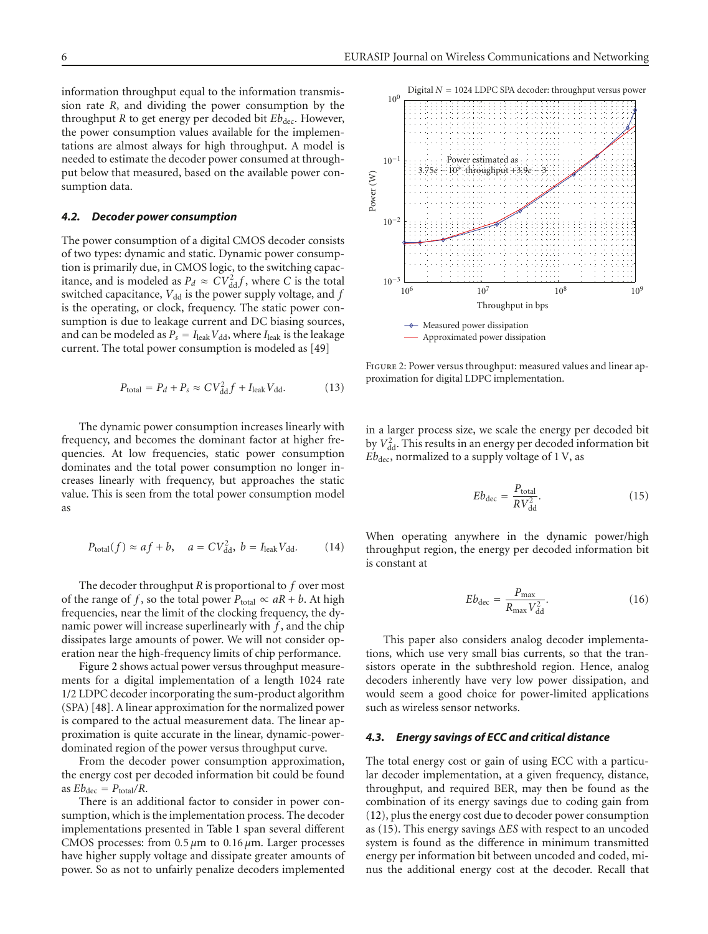information throughput equal to the information transmission rate *R*, and dividing the power consumption by the throughput  $R$  to get energy per decoded bit  $Eb_{\text{dec}}$ . However, the power consumption values available for the implementations are almost always for high throughput. A model is needed to estimate the decoder power consumed at throughput below that measured, based on the available power consumption data.

#### *4.2. Decoder power consumption*

The power consumption of a digital CMOS decoder consists of two types: dynamic and static. Dynamic power consumption is primarily due, in CMOS logic, to the switching capacitance, and is modeled as  $P_d \approx CV_{dd}^2 f$ , where *C* is the total switched capacitance,  $V_{dd}$  is the power supply voltage, and  $f$ is the operating, or clock, frequency. The static power consumption is due to leakage current and DC biasing sources, and can be modeled as  $P_s = I_{\text{leak}} V_{\text{dd}}$ , where  $I_{\text{leak}}$  is the leakage current. The total power consumption is modeled as [\[49](#page-12-19)]

$$
P_{\text{total}} = P_d + P_s \approx CV_{\text{dd}}^2 f + I_{\text{leak}} V_{\text{dd}}.\tag{13}
$$

The dynamic power consumption increases linearly with frequency, and becomes the dominant factor at higher frequencies. At low frequencies, static power consumption dominates and the total power consumption no longer increases linearly with frequency, but approaches the static value. This is seen from the total power consumption model as

$$
P_{\text{total}}(f) \approx af + b, \quad a = CV_{\text{dd}}^2, \ b = I_{\text{leak}} V_{\text{dd}}.
$$
 (14)

The decoder throughput *R* is proportional to *f* over most of the range of *f*, so the total power  $P_{total} \propto aR + b$ . At high frequencies, near the limit of the clocking frequency, the dynamic power will increase superlinearly with *f* , and the chip dissipates large amounts of power. We will not consider operation near the high-frequency limits of chip performance.

[Figure 2](#page-5-0) shows actual power versus throughput measurements for a digital implementation of a length 1024 rate 1/2 LDPC decoder incorporating the sum-product algorithm (SPA) [\[48](#page-12-18)]. A linear approximation for the normalized power is compared to the actual measurement data. The linear approximation is quite accurate in the linear, dynamic-powerdominated region of the power versus throughput curve.

From the decoder power consumption approximation, the energy cost per decoded information bit could be found as  $Eb_{\text{dec}} = P_{\text{total}}/R$ .

There is an additional factor to consider in power consumption, which is the implementation process. The decoder implementations presented in [Table 1](#page-6-0) span several different CMOS processes: from 0*.*5 *μ*m to 0*.*16 *μ*m. Larger processes have higher supply voltage and dissipate greater amounts of power. So as not to unfairly penalize decoders implemented



<span id="page-5-0"></span>Figure 2: Power versus throughput: measured values and linear approximation for digital LDPC implementation.

in a larger process size, we scale the energy per decoded bit by  $V_{dd}^2$ . This results in an energy per decoded information bit  $Eb_{\text{dec}}$ , normalized to a supply voltage of 1 V, as

<span id="page-5-1"></span>
$$
Eb_{\rm dec} = \frac{P_{\rm total}}{RV_{\rm dd}^2}.\tag{15}
$$

When operating anywhere in the dynamic power/high throughput region, the energy per decoded information bit is constant at

$$
Eb_{\text{dec}} = \frac{P_{\text{max}}}{R_{\text{max}}V_{\text{dd}}^2}.
$$
 (16)

This paper also considers analog decoder implementations, which use very small bias currents, so that the transistors operate in the subthreshold region. Hence, analog decoders inherently have very low power dissipation, and would seem a good choice for power-limited applications such as wireless sensor networks.

#### *4.3. Energy savings of ECC and critical distance*

The total energy cost or gain of using ECC with a particular decoder implementation, at a given frequency, distance, throughput, and required BER, may then be found as the combination of its energy savings due to coding gain from [\(12\)](#page-4-2), plus the energy cost due to decoder power consumption as [\(15\)](#page-5-1). This energy savings Δ*ES* with respect to an uncoded system is found as the difference in minimum transmitted energy per information bit between uncoded and coded, minus the additional energy cost at the decoder. Recall that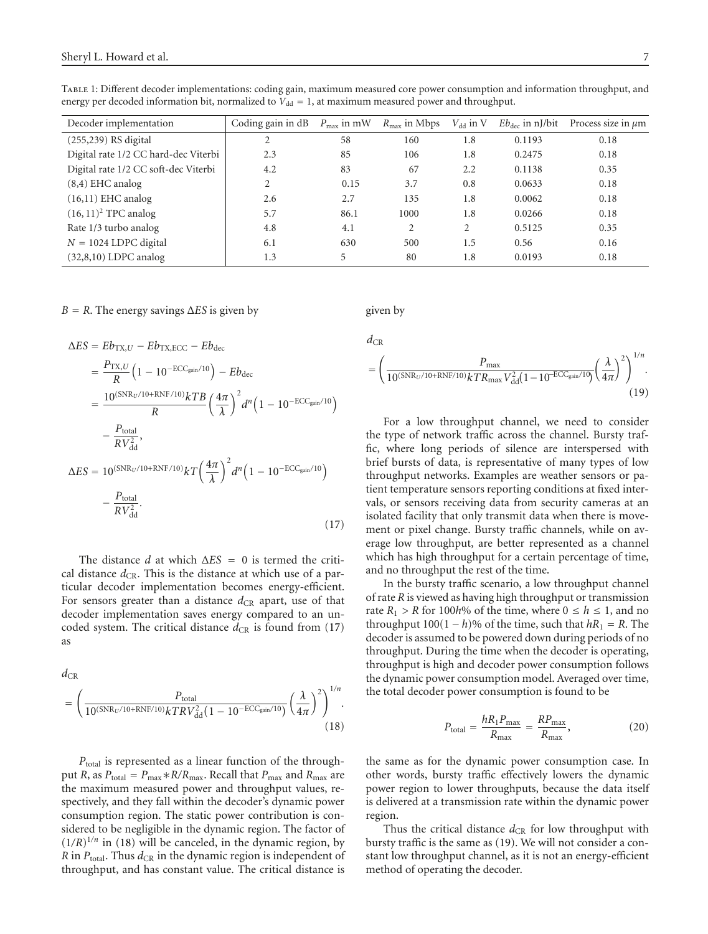| Decoder implementation               | Coding gain in dB | $P_{\text{max}}$ in mW | $R_{\text{max}}$ in Mbps | $V_{dd}$ in V  | $Eb_{\text{dec}}$ in nJ/bit | Process size in $\mu$ m |
|--------------------------------------|-------------------|------------------------|--------------------------|----------------|-----------------------------|-------------------------|
| (255,239) RS digital                 | $\overline{2}$    | 58                     | 160                      | 1.8            | 0.1193                      | 0.18                    |
| Digital rate 1/2 CC hard-dec Viterbi | 2.3               | 85                     | 106                      | 1.8            | 0.2475                      | 0.18                    |
| Digital rate 1/2 CC soft-dec Viterbi | 4.2               | 83                     | 67                       | 2.2            | 0.1138                      | 0.35                    |
| $(8,4)$ EHC analog                   | 2                 | 0.15                   | 3.7                      | 0.8            | 0.0633                      | 0.18                    |
| $(16,11)$ EHC analog                 | 2.6               | 2.7                    | 135                      | 1.8            | 0.0062                      | 0.18                    |
| $(16, 11)^2$ TPC analog              | 5.7               | 86.1                   | 1000                     | 1.8            | 0.0266                      | 0.18                    |
| Rate 1/3 turbo analog                | 4.8               | 4.1                    | $\overline{c}$           | $\overline{c}$ | 0.5125                      | 0.35                    |
| $N = 1024$ LDPC digital              | 6.1               | 630                    | 500                      | 1.5            | 0.56                        | 0.16                    |
| $(32,8,10)$ LDPC analog              | 1.3               | 5                      | 80                       | 1.8            | 0.0193                      | 0.18                    |

<span id="page-6-0"></span>Table 1: Different decoder implementations: coding gain, maximum measured core power consumption and information throughput, and energy per decoded information bit, normalized to  $V_{dd} = 1$ , at maximum measured power and throughput.

 $B = R$ . The energy savings  $\Delta ES$  is given by

$$
\Delta ES = Eb_{\text{TX},U} - Eb_{\text{TX,ECC}} - Eb_{\text{dec}}
$$
  
=  $\frac{P_{\text{TX},U}}{R} \left( 1 - 10^{-ECC_{\text{gain}}/10} \right) - Eb_{\text{dec}}$   
=  $\frac{10^{(\text{SNR}_U/10 + \text{RNF}/10)} kTB}{R} \left( \frac{4\pi}{\lambda} \right)^2 d^n \left( 1 - 10^{-ECC_{\text{gain}}/10} \right)$   
-  $\frac{P_{\text{total}}}{RV_{\text{dd}}^2},$   
 $\Delta ES = 10^{(\text{SNR}_U/10 + \text{RNF}/10)} kT \left( \frac{4\pi}{\lambda} \right)^2 d^n \left( 1 - 10^{-ECC_{\text{gain}}/10} \right)$   
-  $\frac{P_{\text{total}}}{RV_{\text{dd}}^2}.$  (17)

The distance *<sup>d</sup>* at which <sup>Δ</sup>*ES* <sup>=</sup> 0 is termed the critical distance  $d_{\text{CR}}$ . This is the distance at which use of a particular decoder implementation becomes energy-efficient. For sensors greater than a distance  $d_{CR}$  apart, use of that decoder implementation saves energy compared to an uncoded system. The critical distance  $d_{CR}$  is found from [\(17\)](#page-6-1) as

 $d_{CR}$ 

$$
= \left(\frac{P_{\text{total}}}{10^{(\text{SNR}_U/10 + \text{RNF}/10)} kT R V_{\text{dd}}^2 (1 - 10^{-\text{ECC}_{\text{gain}}/10})} \left(\frac{\lambda}{4\pi}\right)^2\right)^{1/n} . \tag{18}
$$

*P*<sub>total</sub> is represented as a linear function of the throughput *R*, as  $P_{total} = P_{max} * R/R_{max}$ . Recall that  $P_{max}$  and  $R_{max}$  are the maximum measured power and throughput values, respectively, and they fall within the decoder's dynamic power consumption region. The static power contribution is considered to be negligible in the dynamic region. The factor of  $(1/R)^{1/n}$  in [\(18\)](#page-6-2) will be canceled, in the dynamic region, by *R* in  $P_{total}$ . Thus  $d_{CR}$  in the dynamic region is independent of throughput, and has constant value. The critical distance is

given by

 $d_{CD}$ 

<span id="page-6-3"></span>
$$
= \left(\frac{P_{\text{max}}}{10^{(\text{SNR}_U/10 + \text{RNF}/10)}kTR_{\text{max}}V_{\text{dd}}^2(1 - 10^{-\text{ECC}_{\text{gain}}/10})}\left(\frac{\lambda}{4\pi}\right)^2\right)^{1/n}.
$$
\n(19)

<span id="page-6-1"></span>For a low throughput channel, we need to consider the type of network traffic across the channel. Bursty traffic, where long periods of silence are interspersed with brief bursts of data, is representative of many types of low throughput networks. Examples are weather sensors or patient temperature sensors reporting conditions at fixed intervals, or sensors receiving data from security cameras at an isolated facility that only transmit data when there is movement or pixel change. Bursty traffic channels, while on average low throughput, are better represented as a channel which has high throughput for a certain percentage of time, and no throughput the rest of the time.

In the bursty traffic scenario, a low throughput channel of rate *R* is viewed as having high throughput or transmission rate  $R_1 > R$  for 100*h*% of the time, where  $0 \le h \le 1$ , and no throughput  $100(1 - h)\%$  of the time, such that  $hR_1 = R$ . The decoder is assumed to be powered down during periods of no throughput. During the time when the decoder is operating, throughput is high and decoder power consumption follows the dynamic power consumption model. Averaged over time, the total decoder power consumption is found to be

$$
P_{\text{total}} = \frac{hR_1 P_{\text{max}}}{R_{\text{max}}} = \frac{R P_{\text{max}}}{R_{\text{max}}},\tag{20}
$$

<span id="page-6-2"></span>the same as for the dynamic power consumption case. In other words, bursty traffic effectively lowers the dynamic power region to lower throughputs, because the data itself is delivered at a transmission rate within the dynamic power region.

Thus the critical distance  $d_{CR}$  for low throughput with bursty traffic is the same as [\(19\)](#page-6-3). We will not consider a constant low throughput channel, as it is not an energy-efficient method of operating the decoder.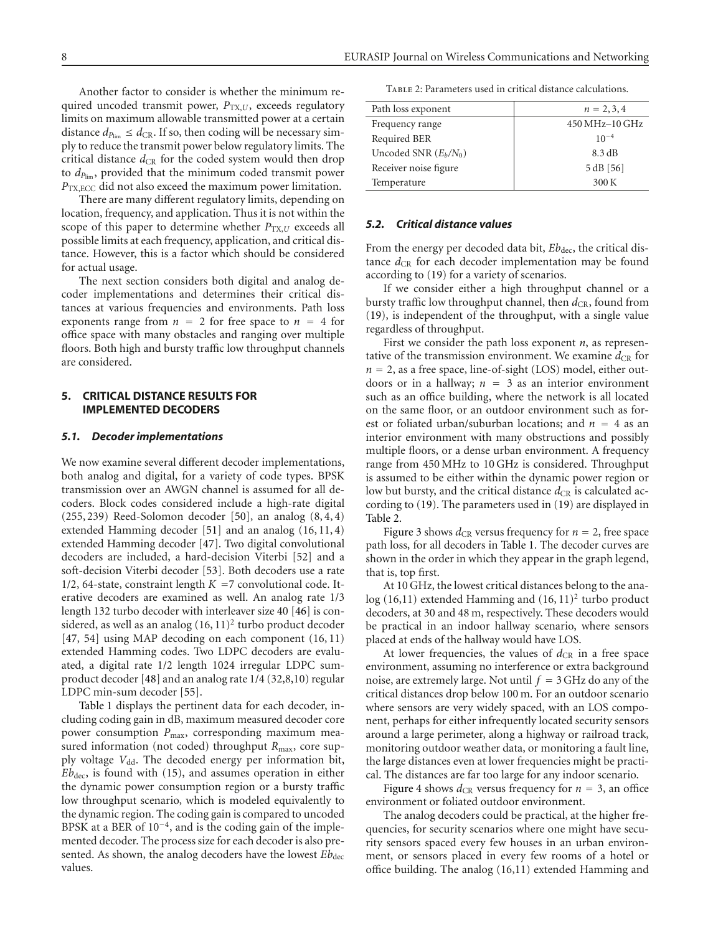Another factor to consider is whether the minimum required uncoded transmit power,  $P_{TX,U}$ , exceeds regulatory limits on maximum allowable transmitted power at a certain distance  $d_{P_{\text{lim}}} \leq d_{\text{CR}}$ . If so, then coding will be necessary simply to reduce the transmit power below regulatory limits. The critical distance  $d_{CR}$  for the coded system would then drop to  $d_{P_{\text{lim}}}$ , provided that the minimum coded transmit power *P*TX,ECC did not also exceed the maximum power limitation.

There are many different regulatory limits, depending on location, frequency, and application. Thus it is not within the scope of this paper to determine whether  $P_{TX,U}$  exceeds all possible limits at each frequency, application, and critical distance. However, this is a factor which should be considered for actual usage.

The next section considers both digital and analog decoder implementations and determines their critical distances at various frequencies and environments. Path loss exponents range from  $n = 2$  for free space to  $n = 4$  for office space with many obstacles and ranging over multiple floors. Both high and bursty traffic low throughput channels are considered.

#### <span id="page-7-0"></span>**5. CRITICAL DISTANCE RESULTS FOR IMPLEMENTED DECODERS**

#### <span id="page-7-1"></span>*5.1. Decoder implementations*

We now examine several different decoder implementations, both analog and digital, for a variety of code types. BPSK transmission over an AWGN channel is assumed for all decoders. Block codes considered include a high-rate digital (255, 239) Reed-Solomon decoder [\[50\]](#page-12-20), an analog (8, 4, 4) extended Hamming decoder [\[51](#page-12-21)] and an analog (16, 11, 4) extended Hamming decoder [\[47\]](#page-12-17). Two digital convolutional decoders are included, a hard-decision Viterbi [\[52](#page-12-22)] and a soft-decision Viterbi decoder [\[53\]](#page-12-23). Both decoders use a rate 1/2, 64-state, constraint length  $K = 7$  convolutional code. Iterative decoders are examined as well. An analog rate 1/3 length 132 turbo decoder with interleaver size 40 [\[46\]](#page-12-16) is considered, as well as an analog  $(16, 11)^2$  turbo product decoder [\[47](#page-12-17), [54\]](#page-12-24) using MAP decoding on each component (16, 11) extended Hamming codes. Two LDPC decoders are evaluated, a digital rate 1/2 length 1024 irregular LDPC sumproduct decoder [\[48](#page-12-18)] and an analog rate 1/4 (32,8,10) regular LDPC min-sum decoder [\[55\]](#page-12-25).

[Table 1](#page-6-0) displays the pertinent data for each decoder, including coding gain in dB, maximum measured decoder core power consumption  $P_{\text{max}}$ , corresponding maximum measured information (not coded) throughput *R*<sub>max</sub>, core supply voltage *V*<sub>dd</sub>. The decoded energy per information bit,  $Eb_{\text{dec}}$ , is found with [\(15\)](#page-5-1), and assumes operation in either the dynamic power consumption region or a bursty traffic low throughput scenario, which is modeled equivalently to the dynamic region. The coding gain is compared to uncoded BPSK at a BER of 10−4, and is the coding gain of the implemented decoder. The process size for each decoder is also presented. As shown, the analog decoders have the lowest  $Eb_{\text{dec}}$ values.

Table 2: Parameters used in critical distance calculations.

<span id="page-7-2"></span>

| Path loss exponent      | $n = 2, 3, 4$  |  |  |
|-------------------------|----------------|--|--|
| Frequency range         | 450 MHz-10 GHz |  |  |
| Required BER            | $10^{-4}$      |  |  |
| Uncoded SNR $(E_b/N_0)$ | 8.3 dB         |  |  |
| Receiver noise figure   | 5 dB [56]      |  |  |
| Temperature             | 300 K          |  |  |

#### *5.2. Critical distance values*

From the energy per decoded data bit,  $Eb_{\text{dec}}$ , the critical distance  $d_{CR}$  for each decoder implementation may be found according to [\(19\)](#page-6-3) for a variety of scenarios.

If we consider either a high throughput channel or a bursty traffic low throughput channel, then  $d_{CR}$ , found from [\(19\)](#page-6-3), is independent of the throughput, with a single value regardless of throughput.

First we consider the path loss exponent *n*, as representative of the transmission environment. We examine  $d_{CR}$  for  $n = 2$ , as a free space, line-of-sight (LOS) model, either outdoors or in a hallway;  $n = 3$  as an interior environment such as an office building, where the network is all located on the same floor, or an outdoor environment such as forest or foliated urban/suburban locations; and  $n = 4$  as an interior environment with many obstructions and possibly multiple floors, or a dense urban environment. A frequency range from 450 MHz to 10 GHz is considered. Throughput is assumed to be either within the dynamic power region or low but bursty, and the critical distance  $d_{CR}$  is calculated according to [\(19\)](#page-6-3). The parameters used in [\(19\)](#page-6-3) are displayed in [Table 2.](#page-7-2)

[Figure 3](#page-8-0) shows  $d_{CR}$  versus frequency for  $n = 2$ , free space path loss, for all decoders in [Table 1.](#page-6-0) The decoder curves are shown in the order in which they appear in the graph legend, that is, top first.

At 10 GHz, the lowest critical distances belong to the analog (16,11) extended Hamming and (16,11)<sup>2</sup> turbo product decoders, at 30 and 48 m, respectively. These decoders would be practical in an indoor hallway scenario, where sensors placed at ends of the hallway would have LOS.

At lower frequencies, the values of  $d_{CR}$  in a free space environment, assuming no interference or extra background noise, are extremely large. Not until  $f = 3$  GHz do any of the critical distances drop below 100 m. For an outdoor scenario where sensors are very widely spaced, with an LOS component, perhaps for either infrequently located security sensors around a large perimeter, along a highway or railroad track, monitoring outdoor weather data, or monitoring a fault line, the large distances even at lower frequencies might be practical. The distances are far too large for any indoor scenario.

[Figure 4](#page-8-1) shows  $d_{CR}$  versus frequency for  $n = 3$ , an office environment or foliated outdoor environment.

The analog decoders could be practical, at the higher frequencies, for security scenarios where one might have security sensors spaced every few houses in an urban environment, or sensors placed in every few rooms of a hotel or office building. The analog (16,11) extended Hamming and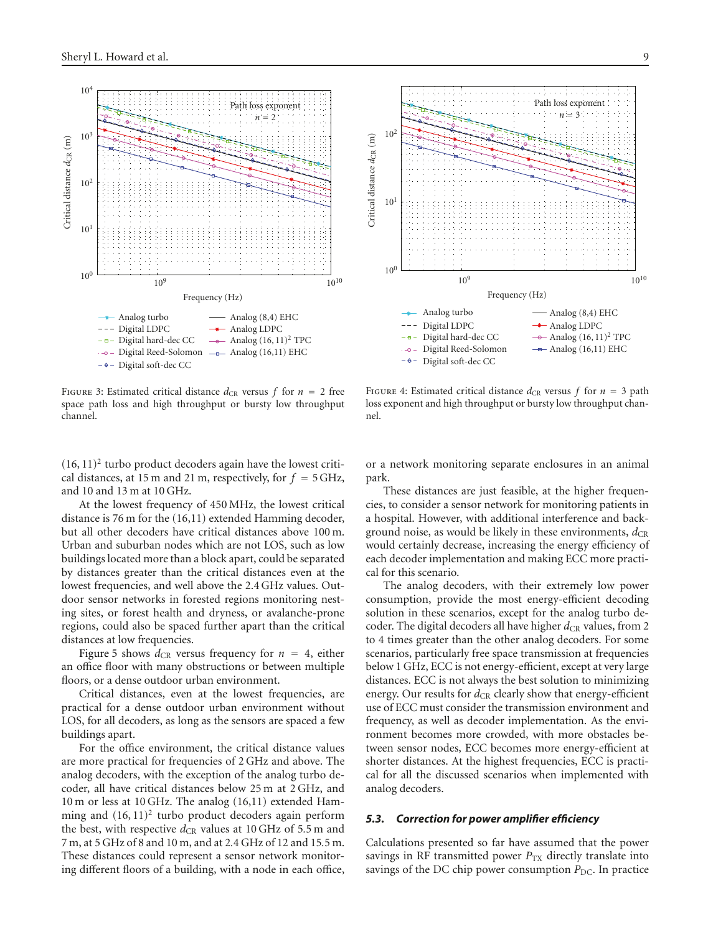

<span id="page-8-0"></span>FIGURE 3: Estimated critical distance  $d_{CR}$  versus  $f$  for  $n = 2$  free space path loss and high throughput or bursty low throughput channel.

 $(16, 11)^2$  turbo product decoders again have the lowest critical distances, at 15 m and 21 m, respectively, for  $f = 5$  GHz, and 10 and 13 m at 10 GHz.

At the lowest frequency of 450 MHz, the lowest critical distance is 76 m for the (16,11) extended Hamming decoder, but all other decoders have critical distances above 100 m. Urban and suburban nodes which are not LOS, such as low buildings located more than a block apart, could be separated by distances greater than the critical distances even at the lowest frequencies, and well above the 2.4 GHz values. Outdoor sensor networks in forested regions monitoring nesting sites, or forest health and dryness, or avalanche-prone regions, could also be spaced further apart than the critical distances at low frequencies.

[Figure 5](#page-9-0) shows  $d_{CR}$  versus frequency for  $n = 4$ , either an office floor with many obstructions or between multiple floors, or a dense outdoor urban environment.

Critical distances, even at the lowest frequencies, are practical for a dense outdoor urban environment without LOS, for all decoders, as long as the sensors are spaced a few buildings apart.

For the office environment, the critical distance values are more practical for frequencies of 2 GHz and above. The analog decoders, with the exception of the analog turbo decoder, all have critical distances below 25 m at 2 GHz, and 10 m or less at 10 GHz. The analog (16,11) extended Hamming and  $(16, 11)^2$  turbo product decoders again perform the best, with respective  $d_{CR}$  values at 10 GHz of 5.5 m and 7 m, at 5 GHz of 8 and 10 m, and at 2*.*4 GHz of 12 and 15*.*5 m. These distances could represent a sensor network monitoring different floors of a building, with a node in each office,

Path loss exponent  $n = 3$  $10<sup>2</sup>$ Critical distance  $d_{\text{CR}}$  (m) Critical distance *d*CR (m) 101  $10<sup>0</sup>$  $10^9$   $10^{10}$ Frequency (Hz) Analog turbo Analog (8,4) EHC Digital LDPC  $= - -$ Analog LDPC  $\rightarrow$  Analog (16, 11)<sup>2</sup> TPC Digital hard-dec CC  $-$ -o - Digital Reed-Solomon  $\leftarrow$  Analog (16,11) EHC  $-\rightarrow -$  Digital soft-dec CC

<span id="page-8-1"></span>FIGURE 4: Estimated critical distance  $d_{CR}$  versus  $f$  for  $n = 3$  path loss exponent and high throughput or bursty low throughput channel.

or a network monitoring separate enclosures in an animal park.

These distances are just feasible, at the higher frequencies, to consider a sensor network for monitoring patients in a hospital. However, with additional interference and background noise, as would be likely in these environments,  $d_{\text{CR}}$ would certainly decrease, increasing the energy efficiency of each decoder implementation and making ECC more practical for this scenario.

The analog decoders, with their extremely low power consumption, provide the most energy-efficient decoding solution in these scenarios, except for the analog turbo decoder. The digital decoders all have higher  $d_{CR}$  values, from 2 to 4 times greater than the other analog decoders. For some scenarios, particularly free space transmission at frequencies below 1 GHz, ECC is not energy-efficient, except at very large distances. ECC is not always the best solution to minimizing energy. Our results for  $d_{CR}$  clearly show that energy-efficient use of ECC must consider the transmission environment and frequency, as well as decoder implementation. As the environment becomes more crowded, with more obstacles between sensor nodes, ECC becomes more energy-efficient at shorter distances. At the highest frequencies, ECC is practical for all the discussed scenarios when implemented with analog decoders.

#### *5.3. Correction for power amplifier efficiency*

Calculations presented so far have assumed that the power savings in RF transmitted power  $P_{TX}$  directly translate into savings of the DC chip power consumption *P*<sub>DC</sub>. In practice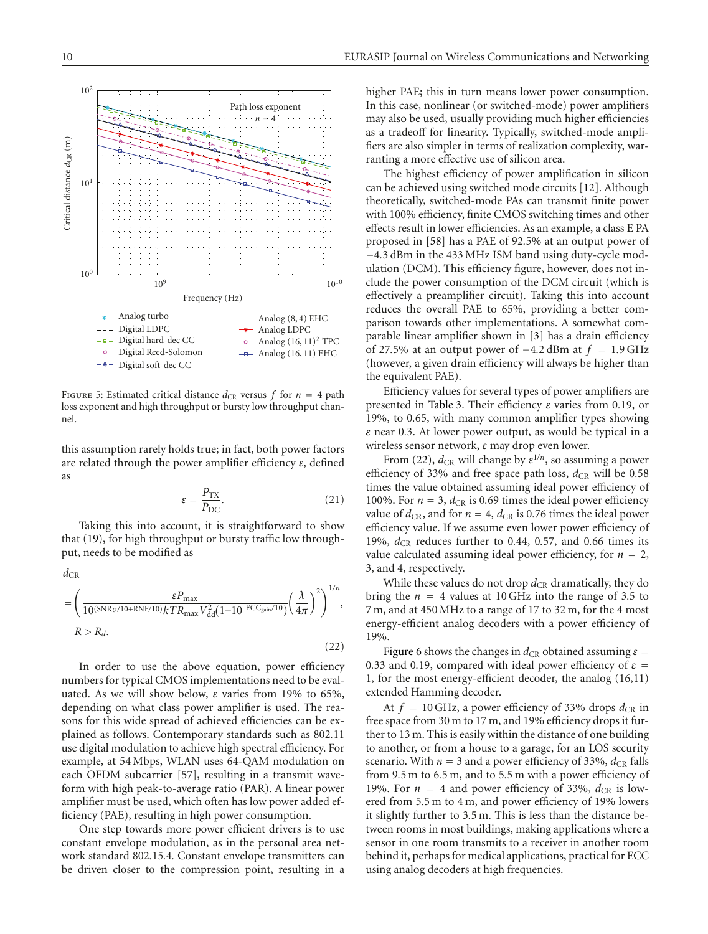

<span id="page-9-0"></span>FIGURE 5: Estimated critical distance  $d_{CR}$  versus  $f$  for  $n = 4$  path loss exponent and high throughput or bursty low throughput channel.

this assumption rarely holds true; in fact, both power factors are related through the power amplifier efficiency *ε*, defined as

$$
\varepsilon = \frac{P_{\text{TX}}}{P_{\text{DC}}}.\tag{21}
$$

Taking this into account, it is straightforward to show that [\(19\)](#page-6-3), for high throughput or bursty traffic low throughput, needs to be modified as

$$
d_{\text{CR}}
$$
\n
$$
= \left(\frac{\varepsilon P_{\text{max}}}{10^{(\text{SNR}_U/10 + \text{RNF}/10)} k T R_{\text{max}} V_{\text{dd}}^2 (1 - 10^{-\text{ECC}_{\text{gain}}/10})} \left(\frac{\lambda}{4\pi}\right)^2\right)^{1/n},
$$
\n
$$
R > R_d.
$$
\n(22)

In order to use the above equation, power efficiency numbers for typical CMOS implementations need to be evaluated. As we will show below, *ε* varies from 19% to 65%, depending on what class power amplifier is used. The reasons for this wide spread of achieved efficiencies can be explained as follows. Contemporary standards such as 802*.*11 use digital modulation to achieve high spectral efficiency. For example, at 54 Mbps, WLAN uses 64-QAM modulation on each OFDM subcarrier [\[57](#page-12-27)], resulting in a transmit waveform with high peak-to-average ratio (PAR). A linear power amplifier must be used, which often has low power added efficiency (PAE), resulting in high power consumption.

One step towards more power efficient drivers is to use constant envelope modulation, as in the personal area network standard 802*.*15*.*4*.* Constant envelope transmitters can be driven closer to the compression point, resulting in a

higher PAE; this in turn means lower power consumption. In this case, nonlinear (or switched-mode) power amplifiers may also be used, usually providing much higher efficiencies as a tradeoff for linearity. Typically, switched-mode amplifiers are also simpler in terms of realization complexity, warranting a more effective use of silicon area.

The highest efficiency of power amplification in silicon can be achieved using switched mode circuits [\[12](#page-11-17)]. Although theoretically, switched-mode PAs can transmit finite power with 100% efficiency, finite CMOS switching times and other effects result in lower efficiencies. As an example, a class E PA proposed in [\[58](#page-12-28)] has a PAE of 92*.*5% at an output power of −4*.*3 dBm in the 433 MHz ISM band using duty-cycle modulation (DCM). This efficiency figure, however, does not include the power consumption of the DCM circuit (which is effectively a preamplifier circuit). Taking this into account reduces the overall PAE to 65%, providing a better comparison towards other implementations. A somewhat comparable linear amplifier shown in [\[3](#page-11-10)] has a drain efficiency of 27*.*5% at an output power of <sup>−</sup>4*.*2 dBm at *<sup>f</sup>* <sup>=</sup> <sup>1</sup>*.*9 GHz (however, a given drain efficiency will always be higher than the equivalent PAE).

Efficiency values for several types of power amplifiers are presented in [Table 3.](#page-10-1) Their efficiency *ε* varies from 0*.*19, or 19%, to 0*.*65, with many common amplifier types showing *ε* near 0*.*3. At lower power output, as would be typical in a wireless sensor network, *ε* may drop even lower.

From [\(22\)](#page-9-1),  $d_{CR}$  will change by  $\varepsilon^{1/n}$ , so assuming a power efficiency of 33% and free space path loss,  $d_{CR}$  will be 0.58 times the value obtained assuming ideal power efficiency of 100%. For  $n = 3$ ,  $d_{CR}$  is 0.69 times the ideal power efficiency value of  $d_{\text{CR}}$ , and for  $n = 4$ ,  $d_{\text{CR}}$  is 0.76 times the ideal power efficiency value. If we assume even lower power efficiency of 19%,  $d_{CR}$  reduces further to 0.44, 0.57, and 0.66 times its value calculated assuming ideal power efficiency, for  $n = 2$ , 3, and 4, respectively.

While these values do not drop  $d_{CR}$  dramatically, they do bring the *<sup>n</sup>* <sup>=</sup> 4 values at 10 GHz into the range of 3*.*5 to 7 m, and at 450 MHz to a range of 17 to 32 m, for the 4 most energy-efficient analog decoders with a power efficiency of 19%.

<span id="page-9-1"></span>[Figure 6](#page-10-2) shows the changes in  $d_{CR}$  obtained assuming  $\varepsilon$  = <sup>0</sup>*.*33 and 0*.*19, compared with ideal power efficiency of *<sup>ε</sup>* <sup>=</sup> 1, for the most energy-efficient decoder, the analog (16,11) extended Hamming decoder.

At  $f = 10$  GHz, a power efficiency of 33% drops  $d_{CR}$  in free space from 30 m to 17 m, and 19% efficiency drops it further to 13 m. This is easily within the distance of one building to another, or from a house to a garage, for an LOS security scenario. With  $n = 3$  and a power efficiency of 33%,  $d_{CR}$  falls from 9*.*5 m to 6*.*5 m, and to 5*.*5 m with a power efficiency of 19%. For  $n = 4$  and power efficiency of 33%,  $d_{CR}$  is lowered from 5*.*5 m to 4 m, and power efficiency of 19% lowers it slightly further to 3*.*5 m. This is less than the distance between rooms in most buildings, making applications where a sensor in one room transmits to a receiver in another room behind it, perhaps for medical applications, practical for ECC using analog decoders at high frequencies.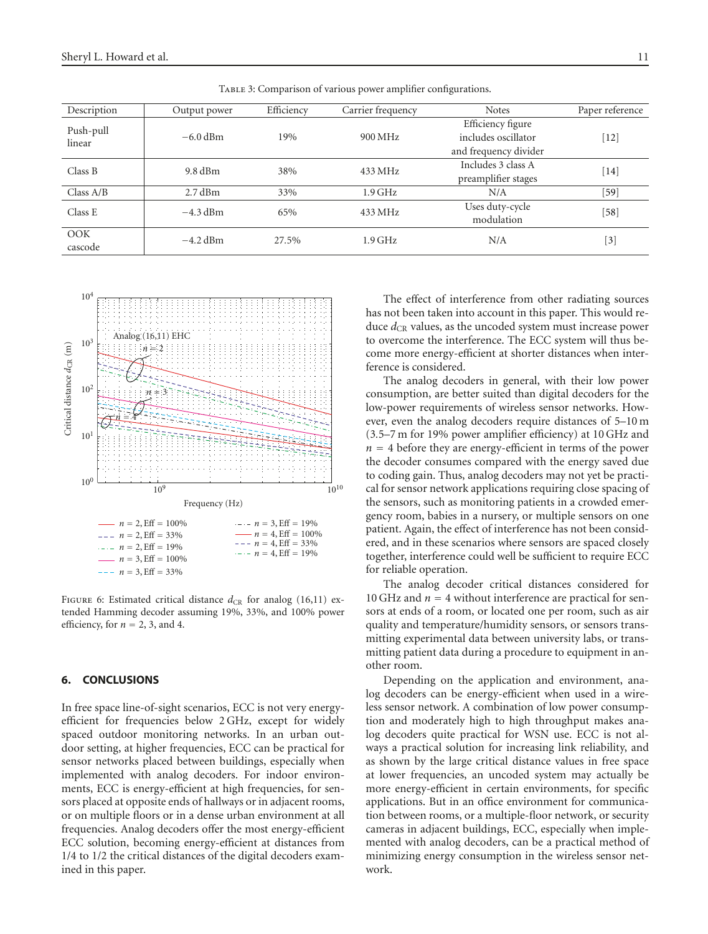| Description         | Output power      | Efficiency | Carrier frequency   | <b>Notes</b>                                                      | Paper reference |
|---------------------|-------------------|------------|---------------------|-------------------------------------------------------------------|-----------------|
| Push-pull<br>linear | $-6.0$ dBm        | 19%        | $900 \mathrm{MHz}$  | Efficiency figure<br>includes oscillator<br>and frequency divider | $[12]$          |
| Class B             | $9.8 \text{ dBm}$ | 38%        | 433 MHz             | Includes 3 class A<br>preamplifier stages                         | [14]            |
| Class $A/B$         | $2.7$ dBm         | 33%        | 1.9 GHz             | N/A                                                               | $[59]$          |
| Class E             | $-4.3$ dBm        | 65%        | 433 MHz             | Uses duty-cycle<br>modulation                                     | [58]            |
| OOK<br>cascode      | $-4.2$ dBm        | 27.5%      | $1.9\,\mathrm{GHz}$ | N/A                                                               | $[3]$           |

<span id="page-10-1"></span>TABLE 3: Comparison of various power amplifier configurations.



<span id="page-10-2"></span>FIGURE 6: Estimated critical distance  $d_{CR}$  for analog (16,11) extended Hamming decoder assuming 19%, 33%, and 100% power efficiency, for  $n = 2$ , 3, and 4.

# <span id="page-10-0"></span>**6. CONCLUSIONS**

In free space line-of-sight scenarios, ECC is not very energyefficient for frequencies below 2 GHz, except for widely spaced outdoor monitoring networks. In an urban outdoor setting, at higher frequencies, ECC can be practical for sensor networks placed between buildings, especially when implemented with analog decoders. For indoor environments, ECC is energy-efficient at high frequencies, for sensors placed at opposite ends of hallways or in adjacent rooms, or on multiple floors or in a dense urban environment at all frequencies. Analog decoders offer the most energy-efficient ECC solution, becoming energy-efficient at distances from 1/4 to 1/2 the critical distances of the digital decoders examined in this paper.

The effect of interference from other radiating sources has not been taken into account in this paper. This would reduce  $d_{CR}$  values, as the uncoded system must increase power to overcome the interference. The ECC system will thus become more energy-efficient at shorter distances when interference is considered.

The analog decoders in general, with their low power consumption, are better suited than digital decoders for the low-power requirements of wireless sensor networks. However, even the analog decoders require distances of 5–10 m (3*.*5–7 m for 19% power amplifier efficiency) at 10 GHz and  $n = 4$  before they are energy-efficient in terms of the power the decoder consumes compared with the energy saved due to coding gain. Thus, analog decoders may not yet be practical for sensor network applications requiring close spacing of the sensors, such as monitoring patients in a crowded emergency room, babies in a nursery, or multiple sensors on one patient. Again, the effect of interference has not been considered, and in these scenarios where sensors are spaced closely together, interference could well be sufficient to require ECC for reliable operation.

The analog decoder critical distances considered for 10 GHz and  $n = 4$  without interference are practical for sensors at ends of a room, or located one per room, such as air quality and temperature/humidity sensors, or sensors transmitting experimental data between university labs, or transmitting patient data during a procedure to equipment in another room.

Depending on the application and environment, analog decoders can be energy-efficient when used in a wireless sensor network. A combination of low power consumption and moderately high to high throughput makes analog decoders quite practical for WSN use. ECC is not always a practical solution for increasing link reliability, and as shown by the large critical distance values in free space at lower frequencies, an uncoded system may actually be more energy-efficient in certain environments, for specific applications. But in an office environment for communication between rooms, or a multiple-floor network, or security cameras in adjacent buildings, ECC, especially when implemented with analog decoders, can be a practical method of minimizing energy consumption in the wireless sensor network.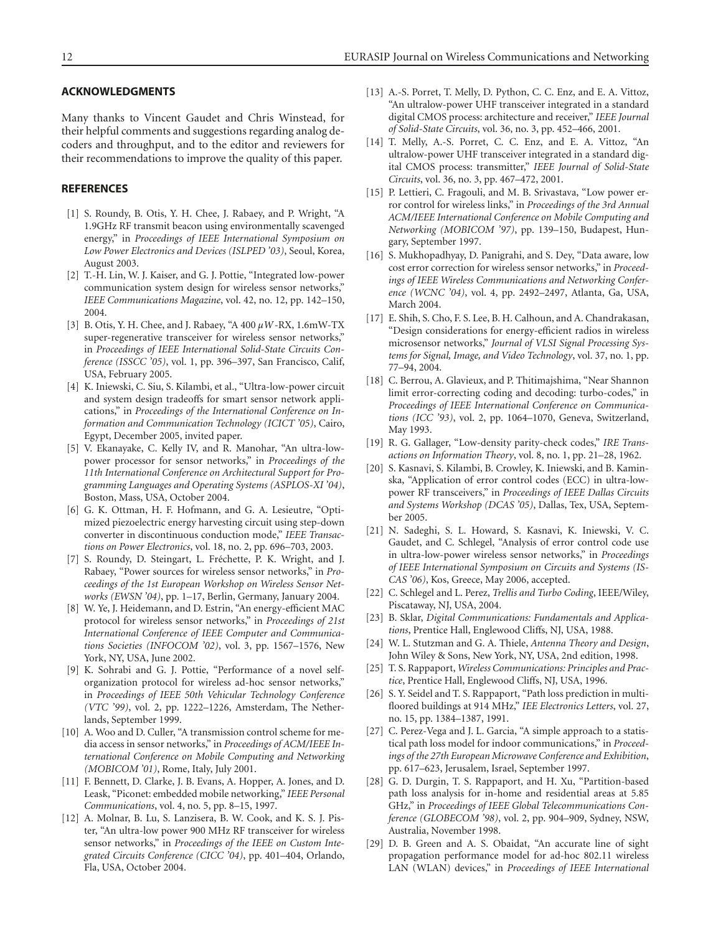# **ACKNOWLEDGMENTS**

Many thanks to Vincent Gaudet and Chris Winstead, for their helpful comments and suggestions regarding analog decoders and throughput, and to the editor and reviewers for their recommendations to improve the quality of this paper.

## <span id="page-11-1"></span><span id="page-11-0"></span>**REFERENCES**

- [1] S. Roundy, B. Otis, Y. H. Chee, J. Rabaey, and P. Wright, "A 1.9GHz RF transmit beacon using environmentally scavenged energy," in *Proceedings of IEEE International Symposium on Low Power Electronics and Devices (ISLPED '03)*, Seoul, Korea, August 2003.
- [2] T.-H. Lin, W. J. Kaiser, and G. J. Pottie, "Integrated low-power communication system design for wireless sensor networks," *IEEE Communications Magazine*, vol. 42, no. 12, pp. 142–150, 2004.
- <span id="page-11-10"></span>[3] B. Otis, Y. H. Chee, and J. Rabaey, "A 400 *μW*-RX, 1.6mW-TX super-regenerative transceiver for wireless sensor networks," in *Proceedings of IEEE International Solid-State Circuits Conference (ISSCC '05)*, vol. 1, pp. 396–397, San Francisco, Calif, USA, February 2005.
- [4] K. Iniewski, C. Siu, S. Kilambi, et al., "Ultra-low-power circuit and system design tradeoffs for smart sensor network applications," in *Proceedings of the International Conference on Information and Communication Technology (ICICT '05)*, Cairo, Egypt, December 2005, invited paper.
- [5] V. Ekanayake, C. Kelly IV, and R. Manohar, "An ultra-lowpower processor for sensor networks," in *Proceedings of the 11th International Conference on Architectural Support for Programming Languages and Operating Systems (ASPLOS-XI '04)*, Boston, Mass, USA, October 2004.
- [6] G. K. Ottman, H. F. Hofmann, and G. A. Lesieutre, "Optimized piezoelectric energy harvesting circuit using step-down converter in discontinuous conduction mode," *IEEE Transactions on Power Electronics*, vol. 18, no. 2, pp. 696–703, 2003.
- [7] S. Roundy, D. Steingart, L. Fréchette, P. K. Wright, and J. Rabaey, "Power sources for wireless sensor networks," in *Proceedings of the 1st European Workshop on Wireless Sensor Networks (EWSN '04)*, pp. 1–17, Berlin, Germany, January 2004.
- [8] W. Ye, J. Heidemann, and D. Estrin, "An energy-efficient MAC protocol for wireless sensor networks," in *Proceedings of 21st International Conference of IEEE Computer and Communications Societies (INFOCOM '02)*, vol. 3, pp. 1567–1576, New York, NY, USA, June 2002.
- [9] K. Sohrabi and G. J. Pottie, "Performance of a novel selforganization protocol for wireless ad-hoc sensor networks," in *Proceedings of IEEE 50th Vehicular Technology Conference (VTC '99)*, vol. 2, pp. 1222–1226, Amsterdam, The Netherlands, September 1999.
- [10] A. Woo and D. Culler, "A transmission control scheme for media access in sensor networks," in *Proceedings of ACM/IEEE International Conference on Mobile Computing and Networking (MOBICOM '01)*, Rome, Italy, July 2001.
- [11] F. Bennett, D. Clarke, J. B. Evans, A. Hopper, A. Jones, and D. Leask, "Piconet: embedded mobile networking," *IEEE Personal Communications*, vol. 4, no. 5, pp. 8–15, 1997.
- <span id="page-11-17"></span>[12] A. Molnar, B. Lu, S. Lanzisera, B. W. Cook, and K. S. J. Pister, "An ultra-low power 900 MHz RF transceiver for wireless sensor networks," in *Proceedings of the IEEE on Custom Integrated Circuits Conference (CICC '04)*, pp. 401–404, Orlando, Fla, USA, October 2004.
- [13] A.-S. Porret, T. Melly, D. Python, C. C. Enz, and E. A. Vittoz, "An ultralow-power UHF transceiver integrated in a standard digital CMOS process: architecture and receiver," *IEEE Journal of Solid-State Circuits*, vol. 36, no. 3, pp. 452–466, 2001.
- <span id="page-11-2"></span>[14] T. Melly, A.-S. Porret, C. C. Enz, and E. A. Vittoz, "An ultralow-power UHF transceiver integrated in a standard digital CMOS process: transmitter," *IEEE Journal of Solid-State Circuits*, vol. 36, no. 3, pp. 467–472, 2001.
- <span id="page-11-3"></span>[15] P. Lettieri, C. Fragouli, and M. B. Srivastava, "Low power error control for wireless links," in *Proceedings of the 3rd Annual ACM/IEEE International Conference on Mobile Computing and Networking (MOBICOM '97)*, pp. 139–150, Budapest, Hungary, September 1997.
- <span id="page-11-4"></span>[16] S. Mukhopadhyay, D. Panigrahi, and S. Dey, "Data aware, low cost error correction for wireless sensor networks," in *Proceedings of IEEE Wireless Communications and Networking Conference (WCNC '04)*, vol. 4, pp. 2492–2497, Atlanta, Ga, USA, March 2004.
- <span id="page-11-5"></span>[17] E. Shih, S. Cho, F. S. Lee, B. H. Calhoun, and A. Chandrakasan, "Design considerations for energy-efficient radios in wireless microsensor networks," *Journal of VLSI Signal Processing Systems for Signal, Image, and Video Technology*, vol. 37, no. 1, pp. 77–94, 2004.
- <span id="page-11-6"></span>[18] C. Berrou, A. Glavieux, and P. Thitimajshima, "Near Shannon limit error-correcting coding and decoding: turbo-codes," in *Proceedings of IEEE International Conference on Communications (ICC '93)*, vol. 2, pp. 1064–1070, Geneva, Switzerland, May 1993.
- <span id="page-11-7"></span>[19] R. G. Gallager, "Low-density parity-check codes," *IRE Transactions on Information Theory*, vol. 8, no. 1, pp. 21–28, 1962.
- <span id="page-11-8"></span>[20] S. Kasnavi, S. Kilambi, B. Crowley, K. Iniewski, and B. Kaminska, "Application of error control codes (ECC) in ultra-lowpower RF transceivers," in *Proceedings of IEEE Dallas Circuits and Systems Workshop (DCAS '05)*, Dallas, Tex, USA, September 2005.
- <span id="page-11-9"></span>[21] N. Sadeghi, S. L. Howard, S. Kasnavi, K. Iniewski, V. C. Gaudet, and C. Schlegel, "Analysis of error control code use in ultra-low-power wireless sensor networks," in *Proceedings of IEEE International Symposium on Circuits and Systems (IS-CAS '06)*, Kos, Greece, May 2006, accepted.
- <span id="page-11-11"></span>[22] C. Schlegel and L. Perez, *Trellis and Turbo Coding*, IEEE/Wiley, Piscataway, NJ, USA, 2004.
- <span id="page-11-12"></span>[23] B. Sklar, *Digital Communications: Fundamentals and Applications*, Prentice Hall, Englewood Cliffs, NJ, USA, 1988.
- <span id="page-11-13"></span>[24] W. L. Stutzman and G. A. Thiele, *Antenna Theory and Design*, John Wiley & Sons, New York, NY, USA, 2nd edition, 1998.
- <span id="page-11-14"></span>[25] T. S. Rappaport, *Wireless Communications: Principles and Practice*, Prentice Hall, Englewood Cliffs, NJ, USA, 1996.
- <span id="page-11-15"></span>[26] S. Y. Seidel and T. S. Rappaport, "Path loss prediction in multifloored buildings at 914 MHz," *IEE Electronics Letters*, vol. 27, no. 15, pp. 1384–1387, 1991.
- [27] C. Perez-Vega and J. L. Garcia, "A simple approach to a statistical path loss model for indoor communications," in *Proceedings of the 27th European Microwave Conference and Exhibition*, pp. 617–623, Jerusalem, Israel, September 1997.
- [28] G. D. Durgin, T. S. Rappaport, and H. Xu, "Partition-based path loss analysis for in-home and residential areas at 5.85 GHz," in *Proceedings of IEEE Global Telecommunications Conference (GLOBECOM '98)*, vol. 2, pp. 904–909, Sydney, NSW, Australia, November 1998.
- <span id="page-11-16"></span>[29] D. B. Green and A. S. Obaidat, "An accurate line of sight propagation performance model for ad-hoc 802.11 wireless LAN (WLAN) devices," in *Proceedings of IEEE International*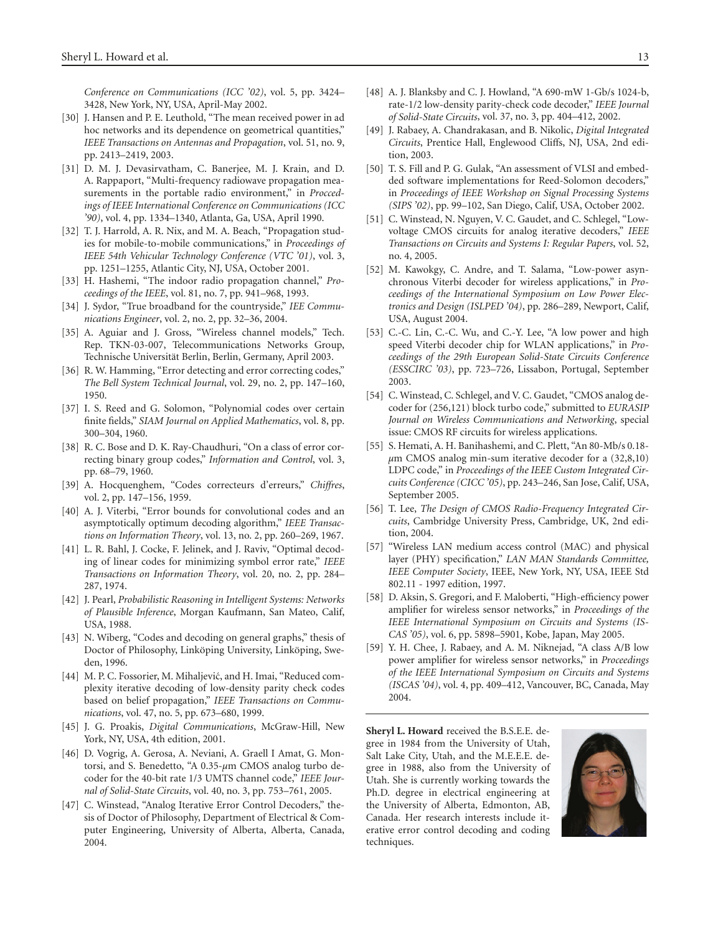*Conference on Communications (ICC '02)*, vol. 5, pp. 3424– 3428, New York, NY, USA, April-May 2002.

- <span id="page-12-0"></span>[30] J. Hansen and P. E. Leuthold, "The mean received power in ad hoc networks and its dependence on geometrical quantities," *IEEE Transactions on Antennas and Propagation*, vol. 51, no. 9, pp. 2413–2419, 2003.
- <span id="page-12-1"></span>[31] D. M. J. Devasirvatham, C. Banerjee, M. J. Krain, and D. A. Rappaport, "Multi-frequency radiowave propagation measurements in the portable radio environment," in *Proccedings of IEEE International Conference on Communications (ICC '90)*, vol. 4, pp. 1334–1340, Atlanta, Ga, USA, April 1990.
- <span id="page-12-2"></span>[32] T. J. Harrold, A. R. Nix, and M. A. Beach, "Propagation studies for mobile-to-mobile communications," in *Proceedings of IEEE 54th Vehicular Technology Conference (VTC '01)*, vol. 3, pp. 1251–1255, Atlantic City, NJ, USA, October 2001.
- <span id="page-12-3"></span>[33] H. Hashemi, "The indoor radio propagation channel," *Proceedings of the IEEE*, vol. 81, no. 7, pp. 941–968, 1993.
- <span id="page-12-4"></span>[34] J. Sydor, "True broadband for the countryside," *IEE Communications Engineer*, vol. 2, no. 2, pp. 32–36, 2004.
- <span id="page-12-5"></span>[35] A. Aguiar and J. Gross, "Wireless channel models," Tech. Rep. TKN-03-007, Telecommunications Networks Group, Technische Universität Berlin, Berlin, Germany, April 2003.
- <span id="page-12-6"></span>[36] R. W. Hamming, "Error detecting and error correcting codes," *The Bell System Technical Journal*, vol. 29, no. 2, pp. 147–160, 1950.
- <span id="page-12-7"></span>[37] I. S. Reed and G. Solomon, "Polynomial codes over certain finite fields," *SIAM Journal on Applied Mathematics*, vol. 8, pp. 300–304, 1960.
- <span id="page-12-8"></span>[38] R. C. Bose and D. K. Ray-Chaudhuri, "On a class of error correcting binary group codes," *Information and Control*, vol. 3, pp. 68–79, 1960.
- <span id="page-12-9"></span>[39] A. Hocquenghem, "Codes correcteurs d'erreurs," *Chiffres*, vol. 2, pp. 147–156, 1959.
- <span id="page-12-10"></span>[40] A. J. Viterbi, "Error bounds for convolutional codes and an asymptotically optimum decoding algorithm," *IEEE Transactions on Information Theory*, vol. 13, no. 2, pp. 260–269, 1967.
- <span id="page-12-11"></span>[41] L. R. Bahl, J. Cocke, F. Jelinek, and J. Raviv, "Optimal decoding of linear codes for minimizing symbol error rate," *IEEE Transactions on Information Theory*, vol. 20, no. 2, pp. 284– 287, 1974.
- <span id="page-12-12"></span>[42] J. Pearl, *Probabilistic Reasoning in Intelligent Systems: Networks of Plausible Inference*, Morgan Kaufmann, San Mateo, Calif, USA, 1988.
- <span id="page-12-13"></span>[43] N. Wiberg, "Codes and decoding on general graphs," thesis of Doctor of Philosophy, Linköping University, Linköping, Sweden, 1996.
- <span id="page-12-14"></span>[44] M. P. C. Fossorier, M. Mihaljević, and H. Imai, "Reduced complexity iterative decoding of low-density parity check codes based on belief propagation," *IEEE Transactions on Communications*, vol. 47, no. 5, pp. 673–680, 1999.
- <span id="page-12-15"></span>[45] J. G. Proakis, *Digital Communications*, McGraw-Hill, New York, NY, USA, 4th edition, 2001.
- <span id="page-12-16"></span>[46] D. Vogrig, A. Gerosa, A. Neviani, A. Graell I Amat, G. Montorsi, and S. Benedetto, "A 0.35-*μ*m CMOS analog turbo decoder for the 40-bit rate 1/3 UMTS channel code," *IEEE Journal of Solid-State Circuits*, vol. 40, no. 3, pp. 753–761, 2005.
- <span id="page-12-17"></span>[47] C. Winstead, "Analog Iterative Error Control Decoders," thesis of Doctor of Philosophy, Department of Electrical & Computer Engineering, University of Alberta, Alberta, Canada, 2004.
- <span id="page-12-18"></span>[48] A. J. Blanksby and C. J. Howland, "A 690-mW 1-Gb/s 1024-b, rate-1/2 low-density parity-check code decoder," *IEEE Journal of Solid-State Circuits*, vol. 37, no. 3, pp. 404–412, 2002.
- <span id="page-12-19"></span>[49] J. Rabaey, A. Chandrakasan, and B. Nikolic, *Digital Integrated Circuits*, Prentice Hall, Englewood Cliffs, NJ, USA, 2nd edition, 2003.
- <span id="page-12-20"></span>[50] T. S. Fill and P. G. Gulak, "An assessment of VLSI and embedded software implementations for Reed-Solomon decoders," in *Proceedings of IEEE Workshop on Signal Processing Systems (SIPS '02)*, pp. 99–102, San Diego, Calif, USA, October 2002.
- <span id="page-12-21"></span>[51] C. Winstead, N. Nguyen, V. C. Gaudet, and C. Schlegel, "Lowvoltage CMOS circuits for analog iterative decoders," *IEEE Transactions on Circuits and Systems I: Regular Papers*, vol. 52, no. 4, 2005.
- <span id="page-12-22"></span>[52] M. Kawokgy, C. Andre, and T. Salama, "Low-power asynchronous Viterbi decoder for wireless applications," in *Proceedings of the International Symposium on Low Power Electronics and Design (ISLPED '04)*, pp. 286–289, Newport, Calif, USA, August 2004.
- <span id="page-12-23"></span>[53] C.-C. Lin, C.-C. Wu, and C.-Y. Lee, "A low power and high speed Viterbi decoder chip for WLAN applications," in *Proceedings of the 29th European Solid-State Circuits Conference (ESSCIRC '03)*, pp. 723–726, Lissabon, Portugal, September 2003.
- <span id="page-12-24"></span>[54] C. Winstead, C. Schlegel, and V. C. Gaudet, "CMOS analog decoder for (256,121) block turbo code," submitted to *EURASIP Journal on Wireless Communications and Networking*, special issue: CMOS RF circuits for wireless applications.
- <span id="page-12-25"></span>[55] S. Hemati, A. H. Banihashemi, and C. Plett, "An 80-Mb/s 0.18 *μ*m CMOS analog min-sum iterative decoder for a (32,8,10) LDPC code," in *Proceedings of the IEEE Custom Integrated Circuits Conference (CICC '05)*, pp. 243–246, San Jose, Calif, USA, September 2005.
- <span id="page-12-26"></span>[56] T. Lee, *The Design of CMOS Radio-Frequency Integrated Circuits*, Cambridge University Press, Cambridge, UK, 2nd edition, 2004.
- <span id="page-12-27"></span>[57] "Wireless LAN medium access control (MAC) and physical layer (PHY) specification," *LAN MAN Standards Committee, IEEE Computer Society*, IEEE, New York, NY, USA, IEEE Std 802.11 - 1997 edition, 1997.
- <span id="page-12-28"></span>[58] D. Aksin, S. Gregori, and F. Maloberti, "High-efficiency power amplifier for wireless sensor networks," in *Proceedings of the IEEE International Symposium on Circuits and Systems (IS-CAS '05)*, vol. 6, pp. 5898–5901, Kobe, Japan, May 2005.
- <span id="page-12-29"></span>[59] Y. H. Chee, J. Rabaey, and A. M. Niknejad, "A class A/B low power amplifier for wireless sensor networks," in *Proceedings of the IEEE International Symposium on Circuits and Systems (ISCAS '04)*, vol. 4, pp. 409–412, Vancouver, BC, Canada, May 2004.

**Sheryl L. Howard** received the B.S.E.E. degree in 1984 from the University of Utah, Salt Lake City, Utah, and the M.E.E.E. degree in 1988, also from the University of Utah. She is currently working towards the Ph.D. degree in electrical engineering at the University of Alberta, Edmonton, AB, Canada. Her research interests include iterative error control decoding and coding techniques.